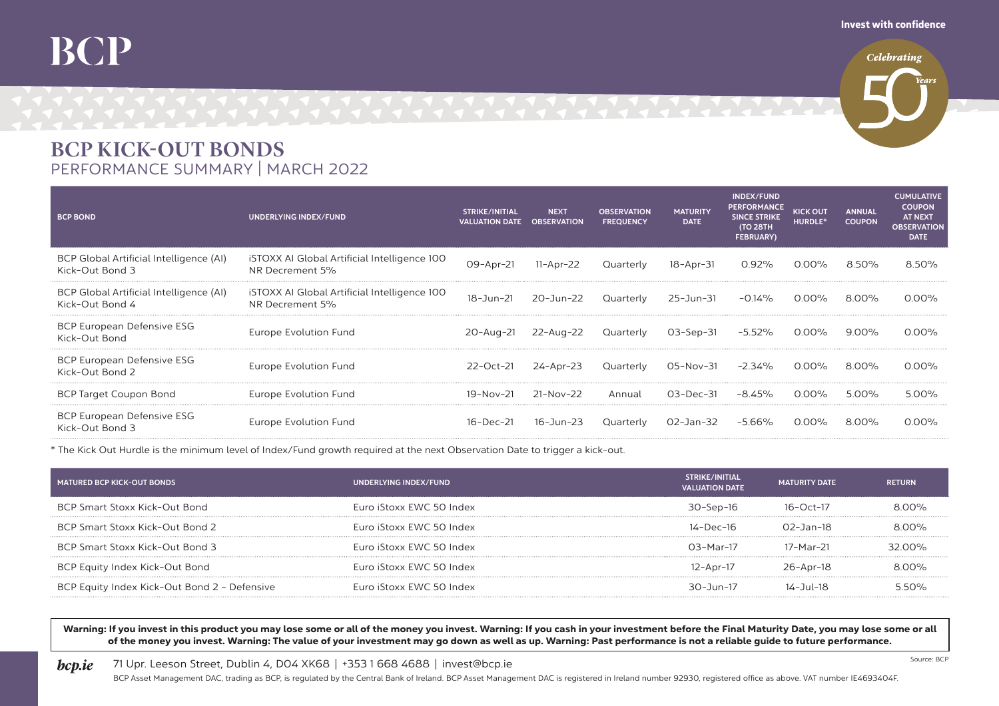## BCP

**Celebrating** 

## BCP KICK-OUT BONDS PERFORMANCE SUMMARY | MARCH 2022

| <b>BCP BOND</b>                                            | <b>UNDERLYING INDEX/FUND</b>                                           | <b>STRIKE/INITIAL</b><br><b>VALUATION DATE</b> | <b>NEXT</b><br><b>OBSERVATION</b> | <b>OBSERVATION</b><br><b>FREQUENCY</b> | <b>MATURITY</b><br><b>DATE</b> | <b>INDEX/FUND</b><br><b>PERFORMANCE</b><br><b>SINCE STRIKE</b><br><b>(TO 28TH)</b><br>FEBRUARY) | <b>KICK OUT</b><br><b>HURDLE*</b> | <b>ANNUAL</b><br><b>COUPON</b> | <b>CUMULATIVE</b><br><b>COUPON</b><br>AT NEXT<br><b>OBSERVATION</b><br><b>DATE</b> |
|------------------------------------------------------------|------------------------------------------------------------------------|------------------------------------------------|-----------------------------------|----------------------------------------|--------------------------------|-------------------------------------------------------------------------------------------------|-----------------------------------|--------------------------------|------------------------------------------------------------------------------------|
| BCP Global Artificial Intelligence (AI)<br>Kick-Out Bond 3 | <b>iSTOXX AI Global Artificial Intelligence 100</b><br>NR Decrement 5% | 09-Apr-21                                      | $11-Apr-22$                       | Quarterly                              | 18-Apr-31                      | 0.92%                                                                                           | $0.00\%$                          | 8.50%                          | 8.50%                                                                              |
| BCP Global Artificial Intelligence (AI)<br>Kick-Out Bond 4 | <b>iSTOXX AI Global Artificial Intelligence 100</b><br>NR Decrement 5% | 18-Jun-21                                      | 20-Jun-22                         | Quarterly                              | 25-Jun-31                      | $-0.14\%$                                                                                       | $0.00\%$                          | 8.00%                          | $0.00\%$                                                                           |
| <b>BCP European Defensive ESG</b><br>Kick-Out Bond         | Europe Evolution Fund                                                  | 20-Aug-21                                      | 22-Aug-22                         | Quarterly                              | O3-Sep-31                      | -5.52%                                                                                          | $0.00\%$                          | $9.00\%$                       | $0.00\%$                                                                           |
| BCP European Defensive ESG<br>Kick-Out Bond 2              | Europe Evolution Fund                                                  | 22-Oct-21                                      | 24-Apr-23                         | Quarterly                              | 05-Nov-31                      | -2.34%                                                                                          | $0.00\%$                          | 8.00%                          | $0.00\%$                                                                           |
| <b>BCP Target Coupon Bond</b>                              | Europe Evolution Fund                                                  | 19-Nov-21                                      | 21-Nov-22                         | Annual                                 | $O3 - Dec - 31$                | $-8.45\%$                                                                                       | $0.00\%$                          | $5.00\%$                       | $5.00\%$                                                                           |
| BCP European Defensive ESG<br>Kick-Out Bond 3              | Europe Evolution Fund                                                  | 16-Dec-21                                      | 16-Jun-23                         | Quarterly                              | 02-Jan-32                      | -5.66%                                                                                          | $0.00\%$                          | 8.00%                          | $0.00\%$                                                                           |

\* The Kick Out Hurdle is the minimum level of Index/Fund growth required at the next Observation Date to trigger a kick-out.

| <b>MATURED BCP KICK-OUT BONDS</b>            | UNDERLYING INDEX/FUND    | STRIKE/INITIAL<br><b>VALUATION DATE</b> | <b>MATURITY DATE</b> | <b>RETURN</b> |
|----------------------------------------------|--------------------------|-----------------------------------------|----------------------|---------------|
| BCP Smart Stoxx Kick-Out Bond                | Euro iStoxx EWC 50 Index | $30 -$ Sep $-16$                        | $16 - \Omega$ ct-17  | $8.00\%$      |
| BCP Smart Stoxx Kick-Out Bond 2              | Euro iStoxx EWC 50 Index | 14-Dec-16                               | $O2 - Jan-18$        | $8.00\%$      |
| BCP Smart Stoxx Kick-Out Bond 3              | Euro iStoxx EWC 50 Index | $03-Mar-17$                             | 17-Mar-21            | 32.00%        |
| BCP Equity Index Kick-Out Bond               | Euro iStoxx EWC 50 Index | 12-Apr-17                               | 26-Apr-18            | $8.00\%$      |
| BCP Equity Index Kick-Out Bond 2 - Defensive | Euro iStoxx EWC 50 Index | 30-Jun-17                               | 14 - 1ul - 18        | 50%           |

Warning: If you invest in this product you may lose some or all of the money you invest. Warning: If you cash in your investment before the Final Maturity Date, you may lose some or all of the money you invest. Warning: The value of your investment may go down as well as up. Warning: Past performance is not a reliable guide to future performance.

## **bcp.ie** 71 Upr. Leeson Street, Dublin 4, DO4 XK68 | +353 1 668 4688 | invest@bcp.ie

BCP Asset Management DAC, trading as BCP, is regulated by the Central Bank of Ireland. BCP Asset Management DAC is registered in Ireland number 92930, registered office as above. VAT number IE4693404F.